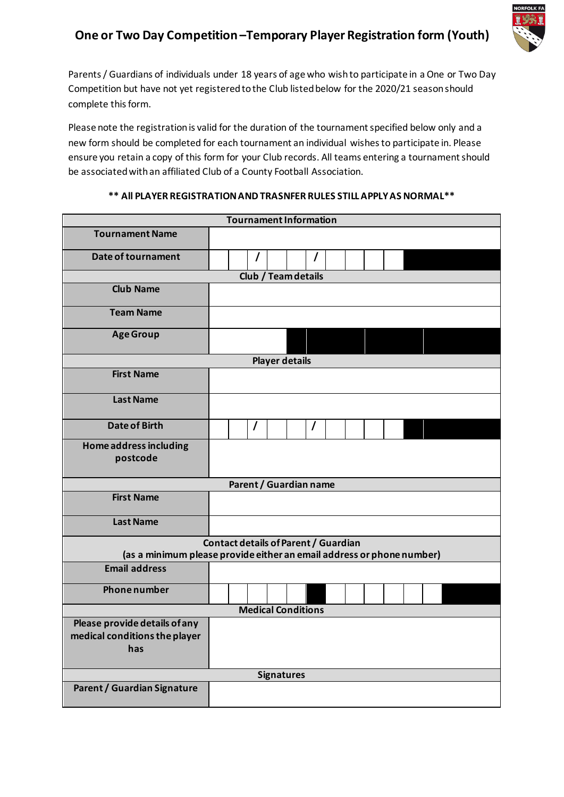## **One or Two Day Competition–Temporary Player Registration form (Youth)**



Parents / Guardians of individuals under 18 years of age who wishto participate in a One or Two Day Competition but have not yet registered to the Club listed below for the 2020/21 season should complete this form.

Please note the registration is valid for the duration of the tournament specified below only and a new form should be completed for each tournament an individual wishes to participate in. Please ensure you retain a copy of this form for your Club records. All teams entering a tournament should be associated with an affiliated Club of a County Football Association.

| <b>Tournament Information</b> |                                                                       |
|-------------------------------|-----------------------------------------------------------------------|
| <b>Tournament Name</b>        |                                                                       |
| Date of tournament            | I<br>$\prime$                                                         |
|                               | <b>Club / Team details</b>                                            |
| <b>Club Name</b>              |                                                                       |
| <b>Team Name</b>              |                                                                       |
| <b>Age Group</b>              |                                                                       |
|                               | <b>Player details</b>                                                 |
| <b>First Name</b>             |                                                                       |
| <b>Last Name</b>              |                                                                       |
| <b>Date of Birth</b>          | $\prime$<br>$\prime$                                                  |
| Home address including        |                                                                       |
| postcode                      |                                                                       |
|                               |                                                                       |
|                               | Parent / Guardian name                                                |
| <b>First Name</b>             |                                                                       |
| <b>Last Name</b>              |                                                                       |
|                               | Contact details of Parent / Guardian                                  |
|                               | (as a minimum please provide either an email address or phone number) |
| <b>Email address</b>          |                                                                       |
| <b>Phone number</b>           |                                                                       |
|                               | <b>Medical Conditions</b>                                             |
| Please provide details of any |                                                                       |
| medical conditions the player |                                                                       |
| has                           |                                                                       |
|                               | <b>Signatures</b>                                                     |
| Parent / Guardian Signature   |                                                                       |

## **\*\* All PLAYER REGISTRATION AND TRASNFER RULES STILL APPLY AS NORMAL\*\***